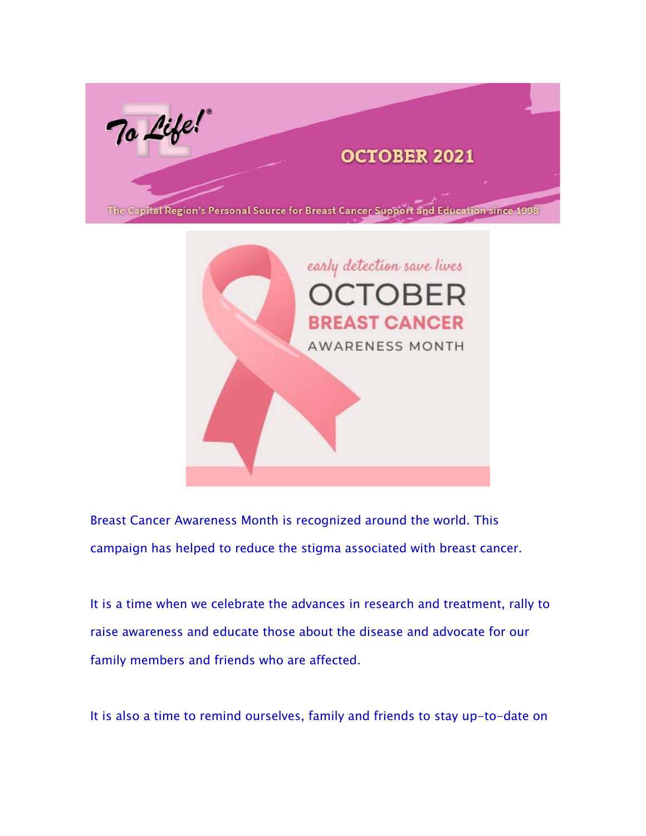



Breast Cancer Awareness Month is recognized around the world. This campaign has helped to reduce the stigma associated with breast cancer.

It is a time when we celebrate the advances in research and treatment, rally to raise awareness and educate those about the disease and advocate for our family members and friends who are affected.

It is also a time to remind ourselves, family and friends to stay up-to-date on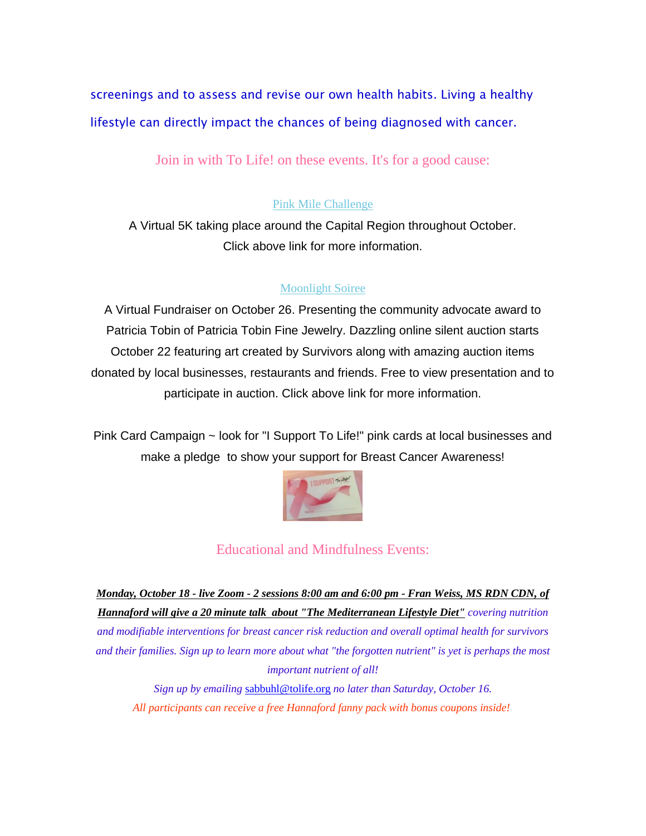screenings and to assess and revise our own health habits. Living a healthy lifestyle can directly impact the chances of being diagnosed with cancer.

Join in with To Life! on these events. It's for a good cause:

#### [Pink Mile Challenge](https://tolife.us5.list-manage.com/track/click?u=241d59b897b4121e9d2e15914&id=c0d320e6f0&e=14acf428be)

A Virtual 5K taking place around the Capital Region throughout October. Click above link for more information.

#### [Moonlight Soiree](https://tolife.us5.list-manage.com/track/click?u=241d59b897b4121e9d2e15914&id=7a1f9b0212&e=14acf428be)

A Virtual Fundraiser on October 26. Presenting the community advocate award to Patricia Tobin of Patricia Tobin Fine Jewelry. Dazzling online silent auction starts October 22 featuring art created by Survivors along with amazing auction items donated by local businesses, restaurants and friends. Free to view presentation and to participate in auction. Click above link for more information.

Pink Card Campaign ~ look for "I Support To Life!" pink cards at local businesses and make a pledge to show your support for Breast Cancer Awareness!



#### Educational and Mindfulness Events:

*Monday, October 18 - live Zoom - 2 sessions 8:00 am and 6:00 pm - Fran Weiss, MS RDN CDN, of Hannaford will give a 20 minute talk about "The Mediterranean Lifestyle Diet" covering nutrition and modifiable interventions for breast cancer risk reduction and overall optimal health for survivors and their families. Sign up to learn more about what "the forgotten nutrient" is yet is perhaps the most important nutrient of all!*

*Sign up by emailing* [sabbuhl@tolife.org](mailto:sabbuhl@tolife.org) *no later than Saturday, October 16. All participants can receive a free Hannaford fanny pack with bonus coupons inside!*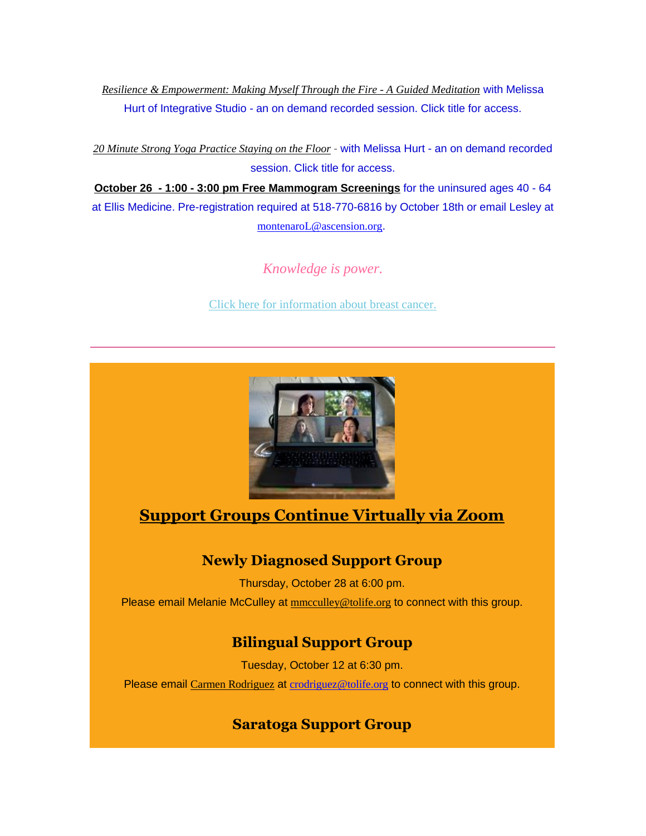*[Resilience & Empowerment: Making Myself Through the Fire -](https://tolife.us5.list-manage.com/track/click?u=241d59b897b4121e9d2e15914&id=0bbc014ba2&e=14acf428be) A Guided Meditation with Melissa Hurt of Integrative Studio - an on demand recorded session. Click title for access.*

*[20 Minute Strong Yoga Practice Staying on the Floor](https://tolife.us5.list-manage.com/track/click?u=241d59b897b4121e9d2e15914&id=380ff36f19&e=14acf428be) - with Melissa Hurt - an on demand recorded session. Click title for access.*

*October 26 - 1:00 - 3:00 pm Free Mammogram Screenings* for the uninsured ages 40 - 64 at Ellis Medicine. Pre-registration required at 518-770-6816 by October 18th or email Lesley at [montenaroL@ascension.org](mailto:montenaroL@ascension.org).

*Knowledge is power.*

[Click here for information about breast cancer.](https://tolife.us5.list-manage.com/track/click?u=241d59b897b4121e9d2e15914&id=dccb98faa3&e=14acf428be)



### **Support Groups Continue Virtually via Zoom**

#### **Newly Diagnosed Support Group**

Thursday, October 28 at 6:00 pm.

Please email Melanie McCulley at **[mmcculley@tolife.org](mailto:mmcculley@tolife.org)** to connect with this group.

#### **Bilingual Support Group**

Tuesday, October 12 at 6:30 pm. Please email [Carmen Rodriguez](mailto:ccarmenrod@hotmail.com) at [crodriguez@tolife.org](mailto:crodriguez@tolife.org) to connect with this group.

#### **Saratoga Support Group**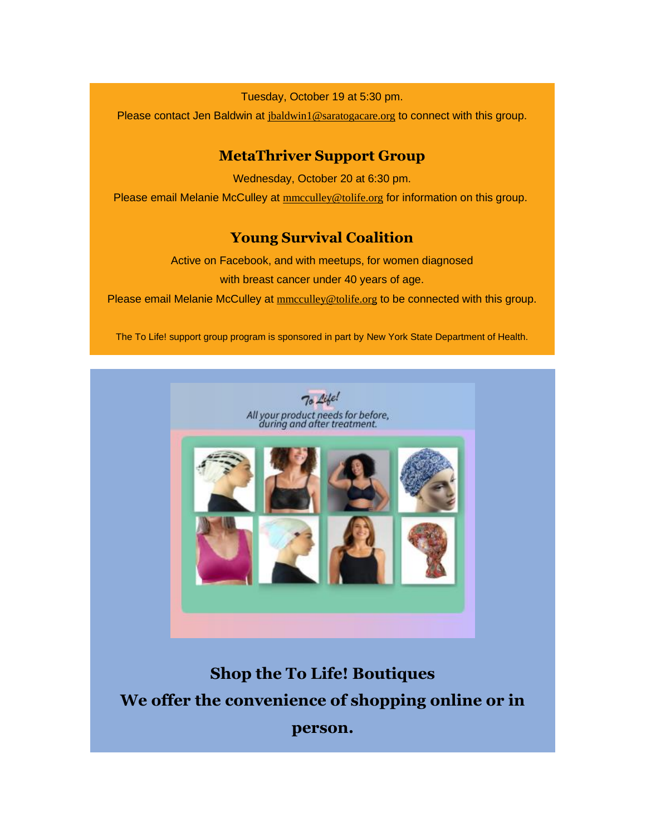Tuesday, October 19 at 5:30 pm.

Please contact Jen Baldwin at [jbaldwin1@saratogacare.org](mailto:jbaldwin1@saratogacare.org) to connect with this group.

#### **MetaThriver Support Group**

Wednesday, October 20 at 6:30 pm. Please email Melanie McCulley at [mmcculley@tolife.org](mailto:mmcculley@tolife.org) for information on this group.

#### **Young Survival Coalition**

Active on Facebook, and with meetups, for women diagnosed with breast cancer under 40 years of age.

Please email Melanie McCulley at  $\text{mmculley@tolic.org}$  to be connected with this group.

*The To Life! support group program is sponsored in part by New York State Department of Health.*



**Shop the To Life! Boutiques We offer the convenience of shopping online or in person.**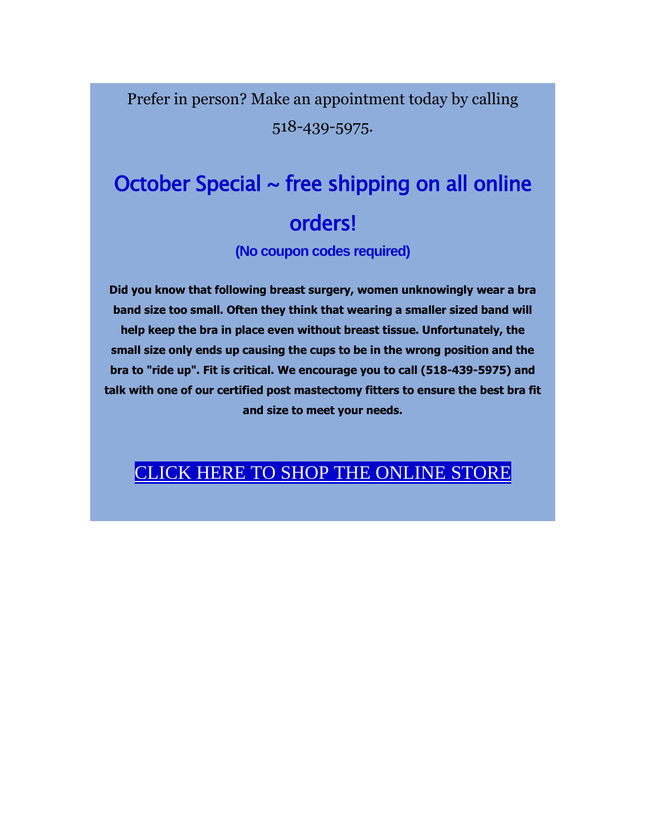Prefer in person? Make an appointment today by calling 518-439-5975.

# October Special  $\sim$  free shipping on all online orders!

**(No coupon codes required)**

**Did you know that following breast surgery, women unknowingly wear a bra band size too small. Often they think that wearing a smaller sized band will help keep the bra in place even without breast tissue. Unfortunately, the small size only ends up causing the cups to be in the wrong position and the bra to "ride up". Fit is critical. We encourage you to call (518-439-5975) and talk with one of our certified post mastectomy fitters to ensure the best bra fit and size to meet your needs.**

### CLICK [HERE TO](https://tolife.us5.list-manage.com/track/click?u=241d59b897b4121e9d2e15914&id=25f53d43aa&e=14acf428be) [SHOP THE ONLINE](https://tolife.us5.list-manage.com/track/click?u=241d59b897b4121e9d2e15914&id=eacd52e7b9&e=14acf428be) STORE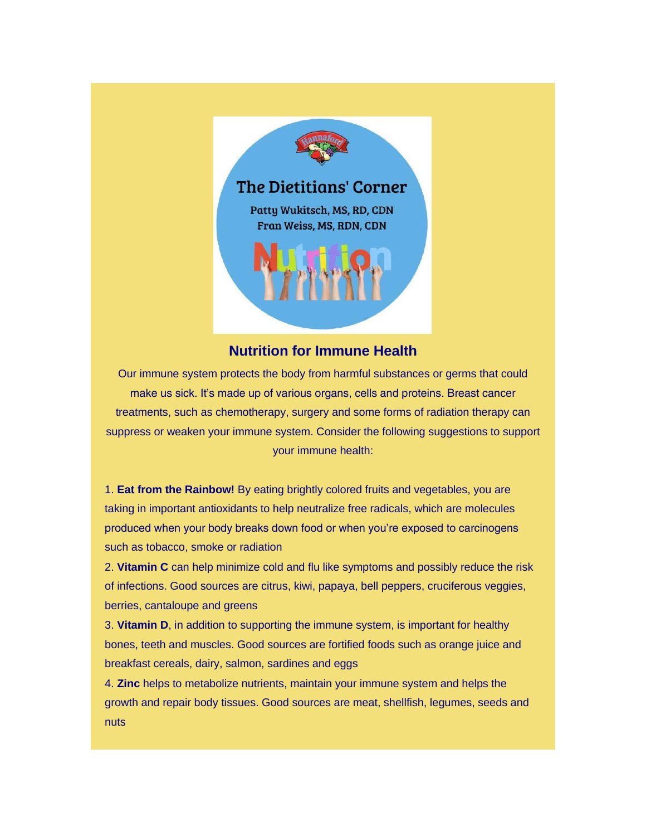

#### **Nutrition for Immune Health**

Our immune system protects the body from harmful substances or germs that could make us sick. It's made up of various organs, cells and proteins. Breast cancer treatments, such as chemotherapy, surgery and some forms of radiation therapy can suppress or weaken your immune system. Consider the following suggestions to support your immune health:

1. **Eat from the Rainbow!** By eating brightly colored fruits and vegetables, you are taking in important antioxidants to help neutralize free radicals, which are molecules produced when your body breaks down food or when you're exposed to carcinogens such as tobacco, smoke or radiation

2. **Vitamin C** can help minimize cold and flu like symptoms and possibly reduce the risk of infections. Good sources are citrus, kiwi, papaya, bell peppers, cruciferous veggies, berries, cantaloupe and greens

3. **Vitamin D**, in addition to supporting the immune system, is important for healthy bones, teeth and muscles. Good sources are fortified foods such as orange juice and breakfast cereals, dairy, salmon, sardines and eggs

4. **Zinc** helps to metabolize nutrients, maintain your immune system and helps the growth and repair body tissues. Good sources are meat, shellfish, legumes, seeds and nuts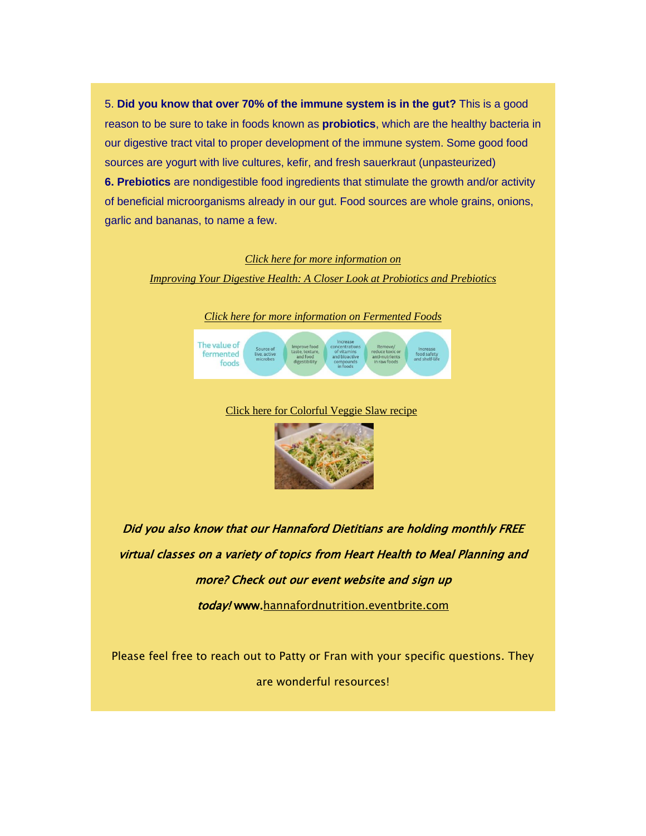5. **Did you know that over 70% of the immune system is in the gut?** This is a good reason to be sure to take in foods known as **probiotics**, which are the healthy bacteria in our digestive tract vital to proper development of the immune system. Some good food sources are yogurt with live cultures, kefir, and fresh sauerkraut (unpasteurized) **6. Prebiotics** are nondigestible food ingredients that stimulate the growth and/or activity of beneficial microorganisms already in our gut. Food sources are whole grains, onions, garlic and bananas, to name a few.

#### *[Click here for more information on](https://tolife.us5.list-manage.com/track/click?u=241d59b897b4121e9d2e15914&id=98021fbff8&e=14acf428be)*

*Improving Your Digestive Health: [A Closer Look at Probiotics and Prebiotics](https://tolife.us5.list-manage.com/track/click?u=241d59b897b4121e9d2e15914&id=98021fbff8&e=14acf428be)*





#### [Click here for Colorful Veggie Slaw recipe](https://tolife.us5.list-manage.com/track/click?u=241d59b897b4121e9d2e15914&id=369f44bf90&e=14acf428be)



Did you also know that our Hannaford Dietitians are holding monthly FREE virtual classes on a variety of topics from Heart Health to Meal Planning and more? Check out our event website and sign up

today! www[.hannafordnutrition.eventbrite.com](https://tolife.us5.list-manage.com/track/click?u=241d59b897b4121e9d2e15914&id=c62d1154d0&e=14acf428be)

Please feel free to reach out to Patty or Fran with your specific questions. They are wonderful resources!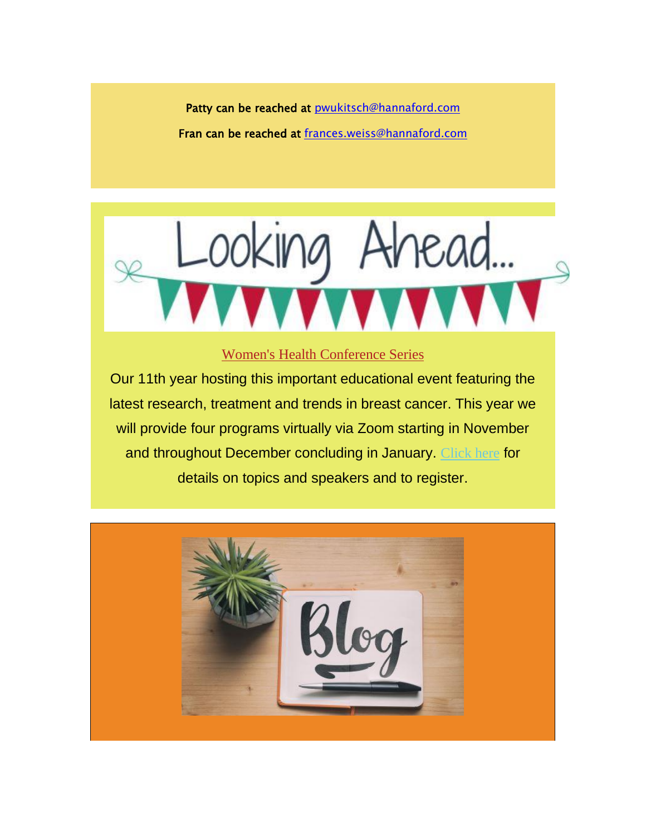Patty can be reached at pwukitsch@hannaford.com Fran can be reached at [frances.weiss@hannaford.com](mailto:frances.weiss@hannaford.com)



#### [Women's Health Conference Series](https://tolife.us5.list-manage.com/track/click?u=241d59b897b4121e9d2e15914&id=fa8cee8429&e=14acf428be)

Our 11th year hosting this important educational event featuring the latest research, treatment and trends in breast cancer. This year we will provide four programs virtually via Zoom starting in November and throughout December concluding in January. [Click here](https://tolife.us5.list-manage.com/track/click?u=241d59b897b4121e9d2e15914&id=1e4a17330e&e=14acf428be) for details on topics and speakers and to register.

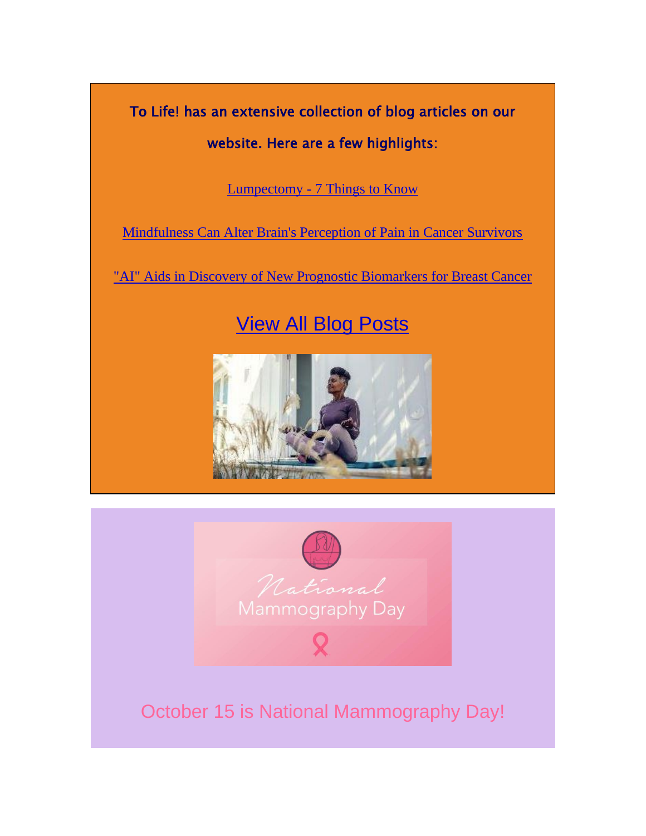To Life! has an extensive collection of blog articles on our website. Here are a few highlights:

Lumpectomy - [7 Things to Know](https://tolife.us5.list-manage.com/track/click?u=241d59b897b4121e9d2e15914&id=bd03b41005&e=14acf428be)

[Mindfulness Can Alter Brain's Perception of Pain in Cancer Survivors](https://tolife.us5.list-manage.com/track/click?u=241d59b897b4121e9d2e15914&id=64e0fd8ddf&e=14acf428be)

["AI" Aids in Discovery of New Prognostic Biomarkers for Breast Cancer](https://tolife.us5.list-manage.com/track/click?u=241d59b897b4121e9d2e15914&id=0eb4c22f64&e=14acf428be)

# *View [All Blog Posts](https://tolife.us5.list-manage.com/track/click?u=241d59b897b4121e9d2e15914&id=4d1d276c56&e=14acf428be)*





# October 15 is National Mammography Day!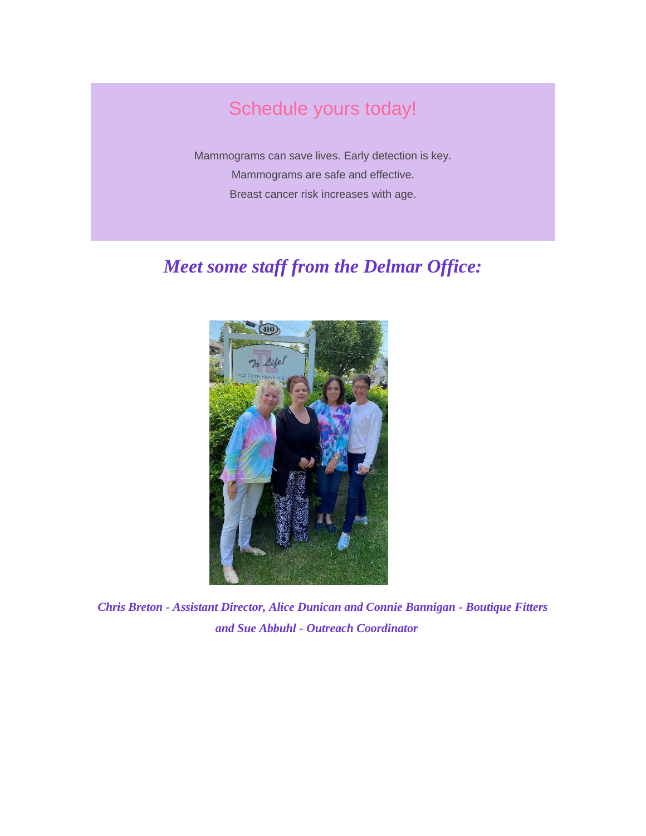# Schedule yours today!

*Mammograms can save lives. Early detection is key. Mammograms are safe and effective. Breast cancer risk increases with age.*

## *Meet some staff from the Delmar Office:*



*Chris Breton - Assistant Director, Alice Dunican and Connie Bannigan - Boutique Fitters and Sue Abbuhl - Outreach Coordinator*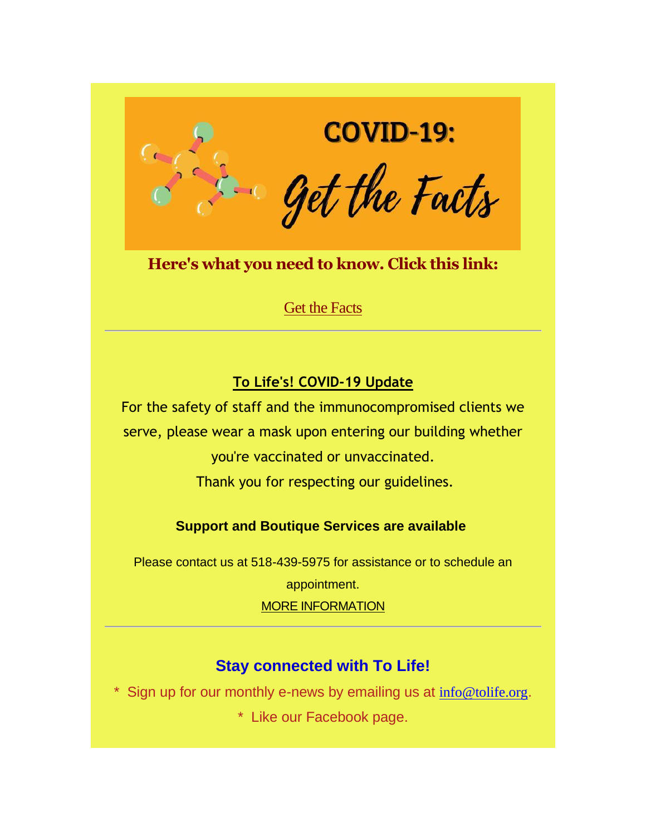

**Here's what you need to know. Click this link:**

[Get the Facts](https://tolife.us5.list-manage.com/track/click?u=241d59b897b4121e9d2e15914&id=3c291a882a&e=14acf428be)

### **To Life's! COVID-19 Update**

For the safety of staff and the immunocompromised clients we serve, please wear a mask upon entering our building whether you're vaccinated or unvaccinated.

Thank you for respecting our guidelines.

*Support and Boutique Services are available*

Please contact us at 518-439-5975 for assistance or to schedule an

appointment.

[M](https://tolife.us5.list-manage.com/track/click?u=241d59b897b4121e9d2e15914&id=e143b40ef3&e=14acf428be)[ORE INFORMATION](https://tolife.us5.list-manage.com/track/click?u=241d59b897b4121e9d2e15914&id=d47506fda6&e=14acf428be)

### **Stay connected with To Life!**

\* Sign up for our monthly e-news by emailing us at  $info@tolife.org$ .

\* Like our Facebook page.